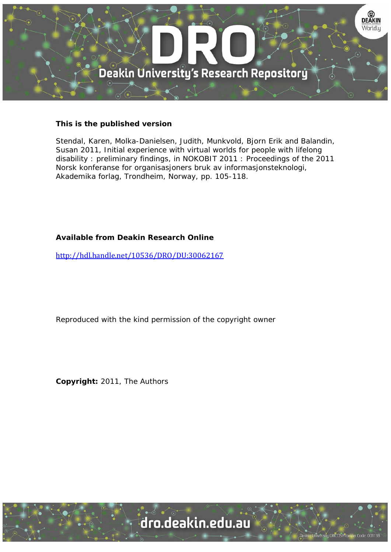

# **This is the published version**

Stendal, Karen, Molka-Danielsen, Judith, Munkvold, Bjorn Erik and Balandin, Susan 2011, Initial experience with virtual worlds for people with lifelong disability : preliminary findings, in NOKOBIT 2011 : Proceedings of the 2011 Norsk konferanse for organisasjoners bruk av informasjonsteknologi, Akademika forlag, Trondheim, Norway, pp. 105-118.

# **Available from Deakin Research Online**

http://hdl.handle.net/10536/DRO/DU:30062167

Reproduced with the kind permission of the copyright owner

**Copyright:** 2011, The Authors

University CRICOS Provider Code: 00113B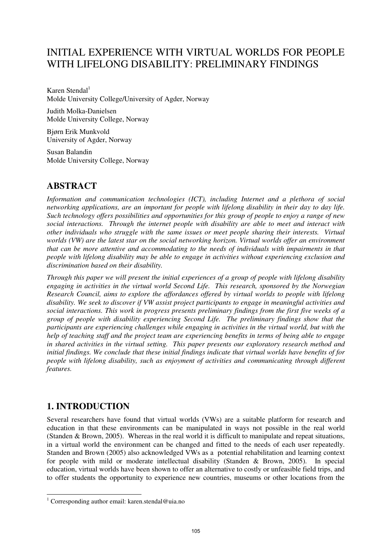# INITIAL EXPERIENCE WITH VIRTUAL WORLDS FOR PEOPLE WITH LIFELONG DISABILITY: PRELIMINARY FINDINGS

Karen Stendal $<sup>1</sup>$ </sup> Molde University College/University of Agder, Norway

Judith Molka-Danielsen Molde University College, Norway

Bjørn Erik Munkvold University of Agder, Norway

Susan Balandin Molde University College, Norway

# **ABSTRACT**

*Information and communication technologies (ICT), including Internet and a plethora of social networking applications, are an important for people with lifelong disability in their day to day life. Such technology offers possibilities and opportunities for this group of people to enjoy a range of new social interactions. Through the internet people with disability are able to meet and interact with other individuals who struggle with the same issues or meet people sharing their interests. Virtual worlds (VW) are the latest star on the social networking horizon. Virtual worlds offer an environment that can be more attentive and accommodating to the needs of individuals with impairments in that people with lifelong disability may be able to engage in activities without experiencing exclusion and discrimination based on their disability.* 

*Through this paper we will present the initial experiences of a group of people with lifelong disability engaging in activities in the virtual world Second Life. This research, sponsored by the Norwegian Research Council, aims to explore the affordances offered by virtual worlds to people with lifelong disability. We seek to discover if VW assist project participants to engage in meaningful activities and social interactions. This work in progress presents preliminary findings from the first five weeks of a group of people with disability experiencing Second Life. The preliminary findings show that the participants are experiencing challenges while engaging in activities in the virtual world, but with the help of teaching staff and the project team are experiencing benefits in terms of being able to engage in shared activities in the virtual setting. This paper presents our exploratory research method and initial findings. We conclude that these initial findings indicate that virtual worlds have benefits of for people with lifelong disability, such as enjoyment of activities and communicating through different features.* 

# **1. INTRODUCTION**

Several researchers have found that virtual worlds (VWs) are a suitable platform for research and education in that these environments can be manipulated in ways not possible in the real world (Standen & Brown, 2005). Whereas in the real world it is difficult to manipulate and repeat situations, in a virtual world the environment can be changed and fitted to the needs of each user repeatedly. Standen and Brown (2005) also acknowledged VWs as a potential rehabilitation and learning context for people with mild or moderate intellectual disability (Standen & Brown, 2005). In special education, virtual worlds have been shown to offer an alternative to costly or unfeasible field trips, and to offer students the opportunity to experience new countries, museums or other locations from the

 1 Corresponding author email: karen.stendal@uia.no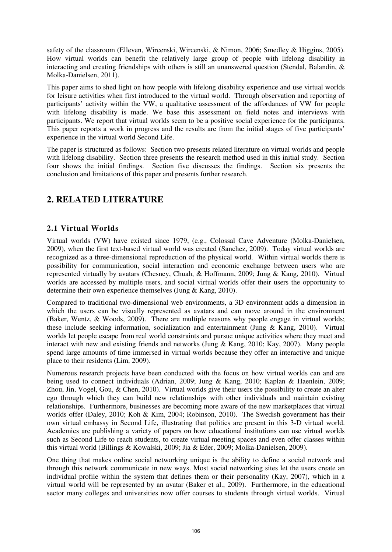safety of the classroom (Elleven, Wircenski, Wircenski, & Nimon, 2006; Smedley & Higgins, 2005). How virtual worlds can benefit the relatively large group of people with lifelong disability in interacting and creating friendships with others is still an unanswered question (Stendal, Balandin,  $\&$ Molka-Danielsen, 2011).

This paper aims to shed light on how people with lifelong disability experience and use virtual worlds for leisure activities when first introduced to the virtual world. Through observation and reporting of participants' activity within the VW, a qualitative assessment of the affordances of VW for people with lifelong disability is made. We base this assessment on field notes and interviews with participants. We report that virtual worlds seem to be a positive social experience for the participants. This paper reports a work in progress and the results are from the initial stages of five participants' experience in the virtual world Second Life.

The paper is structured as follows: Section two presents related literature on virtual worlds and people with lifelong disability. Section three presents the research method used in this initial study. Section four shows the initial findings. Section five discusses the findings. Section six presents the conclusion and limitations of this paper and presents further research.

# **2. RELATED LITERATURE**

### **2.1 Virtual Worlds**

Virtual worlds (VW) have existed since 1979, (e.g., Colossal Cave Adventure (Molka-Danielsen, 2009), when the first text-based virtual world was created (Sanchez, 2009). Today virtual worlds are recognized as a three-dimensional reproduction of the physical world. Within virtual worlds there is possibility for communication, social interaction and economic exchange between users who are represented virtually by avatars (Chesney, Chuah, & Hoffmann, 2009; Jung & Kang, 2010). Virtual worlds are accessed by multiple users, and social virtual worlds offer their users the opportunity to determine their own experience themselves (Jung & Kang, 2010).

Compared to traditional two-dimensional web environments, a 3D environment adds a dimension in which the users can be visually represented as avatars and can move around in the environment (Baker, Wentz, & Woods, 2009). There are multiple reasons why people engage in virtual worlds; these include seeking information, socialization and entertainment (Jung & Kang, 2010). Virtual worlds let people escape from real world constraints and pursue unique activities where they meet and interact with new and existing friends and networks (Jung  $&$  Kang, 2010; Kay, 2007). Many people spend large amounts of time immersed in virtual worlds because they offer an interactive and unique place to their residents (Lim, 2009).

Numerous research projects have been conducted with the focus on how virtual worlds can and are being used to connect individuals (Adrian, 2009; Jung & Kang, 2010; Kaplan & Haenlein, 2009; Zhou, Jin, Vogel, Gou, & Chen, 2010). Virtual worlds give their users the possibility to create an alter ego through which they can build new relationships with other individuals and maintain existing relationships. Furthermore, businesses are becoming more aware of the new marketplaces that virtual worlds offer (Daley, 2010; Koh & Kim, 2004; Robinson, 2010). The Swedish government has their own virtual embassy in Second Life, illustrating that politics are present in this 3-D virtual world. Academics are publishing a variety of papers on how educational institutions can use virtual worlds such as Second Life to reach students, to create virtual meeting spaces and even offer classes within this virtual world (Billings & Kowalski, 2009; Jia & Eder, 2009; Molka-Danielsen, 2009).

One thing that makes online social networking unique is the ability to define a social network and through this network communicate in new ways. Most social networking sites let the users create an individual profile within the system that defines them or their personality (Kay, 2007), which in a virtual world will be represented by an avatar (Baker et al., 2009). Furthermore, in the educational sector many colleges and universities now offer courses to students through virtual worlds. Virtual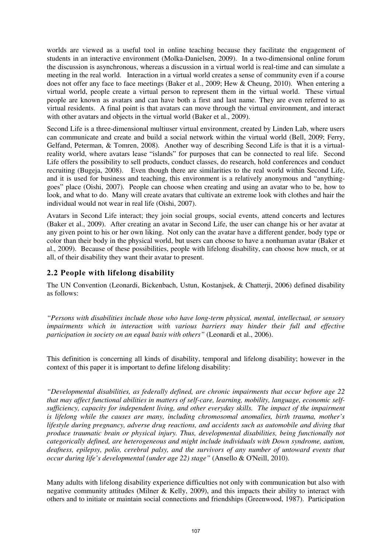worlds are viewed as a useful tool in online teaching because they facilitate the engagement of students in an interactive environment (Molka-Danielsen, 2009). In a two-dimensional online forum the discussion is asynchronous, whereas a discussion in a virtual world is real-time and can simulate a meeting in the real world. Interaction in a virtual world creates a sense of community even if a course does not offer any face to face meetings (Baker et al., 2009; Hew & Cheung, 2010). When entering a virtual world, people create a virtual person to represent them in the virtual world. These virtual people are known as avatars and can have both a first and last name. They are even referred to as virtual residents. A final point is that avatars can move through the virtual environment, and interact with other avatars and objects in the virtual world (Baker et al., 2009).

Second Life is a three-dimensional multiuser virtual environment, created by Linden Lab, where users can communicate and create and build a social network within the virtual world (Bell, 2009; Ferry, Gelfand, Peterman, & Tomren, 2008). Another way of describing Second Life is that it is a virtualreality world, where avatars lease "islands" for purposes that can be connected to real life. Second Life offers the possibility to sell products, conduct classes, do research, hold conferences and conduct recruiting (Bugeja, 2008). Even though there are similarities to the real world within Second Life, and it is used for business and teaching, this environment is a relatively anonymous and "anythinggoes" place (Oishi, 2007). People can choose when creating and using an avatar who to be, how to look, and what to do. Many will create avatars that cultivate an extreme look with clothes and hair the individual would not wear in real life (Oishi, 2007).

Avatars in Second Life interact; they join social groups, social events, attend concerts and lectures (Baker et al., 2009). After creating an avatar in Second Life, the user can change his or her avatar at any given point to his or her own liking. Not only can the avatar have a different gender, body type or color than their body in the physical world, but users can choose to have a nonhuman avatar (Baker et al., 2009). Because of these possibilities, people with lifelong disability, can choose how much, or at all, of their disability they want their avatar to present.

### **2.2 People with lifelong disability**

The UN Convention (Leonardi, Bickenbach, Ustun, Kostanjsek, & Chatterji, 2006) defined disability as follows:

*"Persons with disabilities include those who have long-term physical, mental, intellectual, or sensory impairments which in interaction with various barriers may hinder their full and effective participation in society on an equal basis with others"* (Leonardi et al., 2006).

This definition is concerning all kinds of disability, temporal and lifelong disability; however in the context of this paper it is important to define lifelong disability:

*"Developmental disabilities, as federally defined, are chronic impairments that occur before age 22 that may affect functional abilities in matters of self-care, learning, mobility, language, economic selfsufficiency, capacity for independent living, and other everyday skills. The impact of the impairment is lifelong while the causes are many, including chromosomal anomalies, birth trauma, mother's lifestyle during pregnancy, adverse drug reactions, and accidents such as automobile and diving that produce traumatic brain or physical injury. Thus, developmental disabilities, being functionally not categorically defined, are heterogeneous and might include individuals with Down syndrome, autism, deafness, epilepsy, polio, cerebral palsy, and the survivors of any number of untoward events that occur during life's developmental (under age 22) stage"* (Ansello & O'Neill, 2010).

Many adults with lifelong disability experience difficulties not only with communication but also with negative community attitudes (Milner & Kelly, 2009), and this impacts their ability to interact with others and to initiate or maintain social connections and friendships (Greenwood, 1987). Participation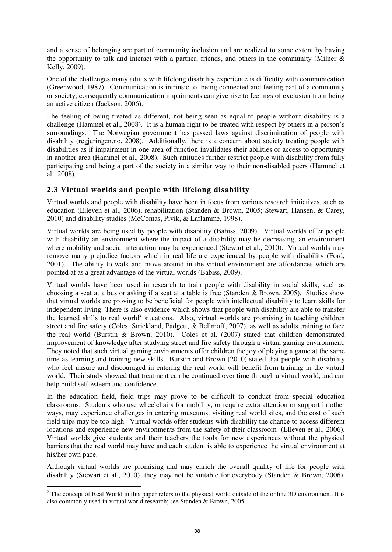and a sense of belonging are part of community inclusion and are realized to some extent by having the opportunity to talk and interact with a partner, friends, and others in the community (Milner  $\&$ Kelly, 2009).

One of the challenges many adults with lifelong disability experience is difficulty with communication (Greenwood, 1987). Communication is intrinsic to being connected and feeling part of a community or society, consequently communication impairments can give rise to feelings of exclusion from being an active citizen (Jackson, 2006).

The feeling of being treated as different, not being seen as equal to people without disability is a challenge (Hammel et al., 2008). It is a human right to be treated with respect by others in a person's surroundings. The Norwegian government has passed laws against discrimination of people with disability (regjeringen.no, 2008). Additionally, there is a concern about society treating people with disabilities as if impairment in one area of function invalidates their abilities or access to opportunity in another area (Hammel et al., 2008). Such attitudes further restrict people with disability from fully participating and being a part of the society in a similar way to their non-disabled peers (Hammel et al., 2008).

### **2.3 Virtual worlds and people with lifelong disability**

Virtual worlds and people with disability have been in focus from various research initiatives, such as education (Elleven et al., 2006), rehabilitation (Standen & Brown, 2005; Stewart, Hansen, & Carey, 2010) and disability studies (McComas, Pivik, & Laflamme, 1998).

Virtual worlds are being used by people with disability (Babiss, 2009). Virtual worlds offer people with disability an environment where the impact of a disability may be decreasing, an environment where mobility and social interaction may be experienced (Stewart et al., 2010). Virtual worlds may remove many prejudice factors which in real life are experienced by people with disability (Ford, 2001). The ability to walk and move around in the virtual environment are affordances which are pointed at as a great advantage of the virtual worlds (Babiss, 2009).

Virtual worlds have been used in research to train people with disability in social skills, such as choosing a seat at a bus or asking if a seat at a table is free (Standen & Brown, 2005). Studies show that virtual worlds are proving to be beneficial for people with intellectual disability to learn skills for independent living. There is also evidence which shows that people with disability are able to transfer the learned skills to real world<sup>2</sup> situations. Also, virtual worlds are promising in teaching children street and fire safety (Coles, Strickland, Padgett, & Bellmoff, 2007), as well as adults training to face the real world (Burstin & Brown, 2010). Coles et al. (2007) stated that children demonstrated improvement of knowledge after studying street and fire safety through a virtual gaming environment. They noted that such virtual gaming environments offer children the joy of playing a game at the same time as learning and training new skills. Burstin and Brown (2010) stated that people with disability who feel unsure and discouraged in entering the real world will benefit from training in the virtual world. Their study showed that treatment can be continued over time through a virtual world, and can help build self-esteem and confidence.

In the education field, field trips may prove to be difficult to conduct from special education classrooms. Students who use wheelchairs for mobility, or require extra attention or support in other ways, may experience challenges in entering museums, visiting real world sites, and the cost of such field trips may be too high. Virtual worlds offer students with disability the chance to access different locations and experience new environments from the safety of their classroom (Elleven et al., 2006). Virtual worlds give students and their teachers the tools for new experiences without the physical barriers that the real world may have and each student is able to experience the virtual environment at his/her own pace.

Although virtual worlds are promising and may enrich the overall quality of life for people with disability (Stewart et al., 2010), they may not be suitable for everybody (Standen & Brown, 2006).

<sup>&</sup>lt;sup>2</sup> The concept of Real World in this paper refers to the physical world outside of the online 3D environment. It is also commonly used in virtual world research; see Standen & Brown, 2005.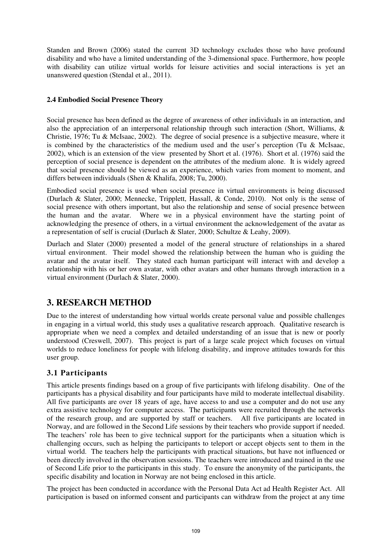Standen and Brown (2006) stated the current 3D technology excludes those who have profound disability and who have a limited understanding of the 3-dimensional space. Furthermore, how people with disability can utilize virtual worlds for leisure activities and social interactions is yet an unanswered question (Stendal et al., 2011).

### **2.4 Embodied Social Presence Theory**

Social presence has been defined as the degree of awareness of other individuals in an interaction, and also the appreciation of an interpersonal relationship through such interaction (Short, Williams, & Christie, 1976; Tu & McIsaac, 2002). The degree of social presence is a subjective measure, where it is combined by the characteristics of the medium used and the user's perception (Tu & McIsaac, 2002), which is an extension of the view presented by Short et al. (1976). Short et al. (1976) said the perception of social presence is dependent on the attributes of the medium alone. It is widely agreed that social presence should be viewed as an experience, which varies from moment to moment, and differs between individuals (Shen & Khalifa, 2008; Tu, 2000).

Embodied social presence is used when social presence in virtual environments is being discussed (Durlach & Slater, 2000; Mennecke, Tripplett, Hassall, & Conde, 2010). Not only is the sense of social presence with others important, but also the relationship and sense of social presence between the human and the avatar. Where we in a physical environment have the starting point of acknowledging the presence of others, in a virtual environment the acknowledgement of the avatar as a representation of self is crucial (Durlach & Slater, 2000; Schultze & Leahy, 2009).

Durlach and Slater (2000) presented a model of the general structure of relationships in a shared virtual environment. Their model showed the relationship between the human who is guiding the avatar and the avatar itself. They stated each human participant will interact with and develop a relationship with his or her own avatar, with other avatars and other humans through interaction in a virtual environment (Durlach & Slater, 2000).

# **3. RESEARCH METHOD**

Due to the interest of understanding how virtual worlds create personal value and possible challenges in engaging in a virtual world, this study uses a qualitative research approach. Qualitative research is appropriate when we need a complex and detailed understanding of an issue that is new or poorly understood (Creswell, 2007). This project is part of a large scale project which focuses on virtual worlds to reduce loneliness for people with lifelong disability, and improve attitudes towards for this user group.

### **3.1 Participants**

This article presents findings based on a group of five participants with lifelong disability. One of the participants has a physical disability and four participants have mild to moderate intellectual disability. All five participants are over 18 years of age, have access to and use a computer and do not use any extra assistive technology for computer access. The participants were recruited through the networks of the research group, and are supported by staff or teachers. All five participants are located in Norway, and are followed in the Second Life sessions by their teachers who provide support if needed. The teachers' role has been to give technical support for the participants when a situation which is challenging occurs, such as helping the participants to teleport or accept objects sent to them in the virtual world. The teachers help the participants with practical situations, but have not influenced or been directly involved in the observation sessions. The teachers were introduced and trained in the use of Second Life prior to the participants in this study. To ensure the anonymity of the participants, the specific disability and location in Norway are not being enclosed in this article.

The project has been conducted in accordance with the Personal Data Act ad Health Register Act. All participation is based on informed consent and participants can withdraw from the project at any time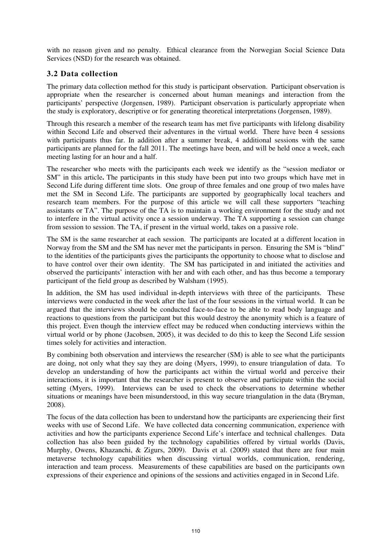with no reason given and no penalty. Ethical clearance from the Norwegian Social Science Data Services (NSD) for the research was obtained.

### **3.2 Data collection**

The primary data collection method for this study is participant observation. Participant observation is appropriate when the researcher is concerned about human meanings and interaction from the participants' perspective (Jorgensen, 1989). Participant observation is particularly appropriate when the study is exploratory, descriptive or for generating theoretical interpretations (Jorgensen, 1989).

Through this research a member of the research team has met five participants with lifelong disability within Second Life and observed their adventures in the virtual world. There have been 4 sessions with participants thus far. In addition after a summer break, 4 additional sessions with the same participants are planned for the fall 2011. The meetings have been, and will be held once a week, each meeting lasting for an hour and a half.

The researcher who meets with the participants each week we identify as the "session mediator or SM" in this article**.** The participants in this study have been put into two groups which have met in Second Life during different time slots. One group of three females and one group of two males have met the SM in Second Life. The participants are supported by geographically local teachers and research team members. For the purpose of this article we will call these supporters "teaching assistants or TA". The purpose of the TA is to maintain a working environment for the study and not to interfere in the virtual activity once a session underway. The TA supporting a session can change from session to session. The TA, if present in the virtual world, takes on a passive role.

The SM is the same researcher at each session. The participants are located at a different location in Norway from the SM and the SM has never met the participants in person. Ensuring the SM is "blind" to the identities of the participants gives the participants the opportunity to choose what to disclose and to have control over their own identity. The SM has participated in and initiated the activities and observed the participants' interaction with her and with each other, and has thus become a temporary participant of the field group as described by Walsham (1995).

In addition, the SM has used individual in-depth interviews with three of the participants. These interviews were conducted in the week after the last of the four sessions in the virtual world. It can be argued that the interviews should be conducted face-to-face to be able to read body language and reactions to questions from the participant but this would destroy the anonymity which is a feature of this project. Even though the interview effect may be reduced when conducting interviews within the virtual world or by phone (Jacobsen, 2005), it was decided to do this to keep the Second Life session times solely for activities and interaction.

By combining both observation and interviews the researcher (SM) is able to see what the participants are doing, not only what they say they are doing (Myers, 1999), to ensure triangulation of data. To develop an understanding of how the participants act within the virtual world and perceive their interactions, it is important that the researcher is present to observe and participate within the social setting (Myers, 1999). Interviews can be used to check the observations to determine whether situations or meanings have been misunderstood, in this way secure triangulation in the data (Bryman, 2008).

The focus of the data collection has been to understand how the participants are experiencing their first weeks with use of Second Life. We have collected data concerning communication, experience with activities and how the participants experience Second Life's interface and technical challenges. Data collection has also been guided by the technology capabilities offered by virtual worlds (Davis, Murphy, Owens, Khazanchi, & Zigurs, 2009). Davis et al. (2009) stated that there are four main metaverse technology capabilities when discussing virtual worlds, communication, rendering, interaction and team process. Measurements of these capabilities are based on the participants own expressions of their experience and opinions of the sessions and activities engaged in in Second Life.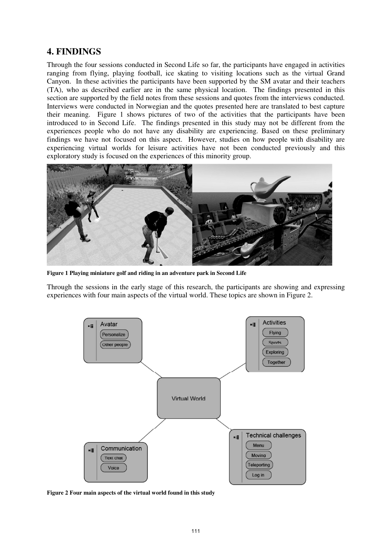## **4. FINDINGS**

Through the four sessions conducted in Second Life so far, the participants have engaged in activities ranging from flying, playing football, ice skating to visiting locations such as the virtual Grand Canyon. In these activities the participants have been supported by the SM avatar and their teachers (TA), who as described earlier are in the same physical location. The findings presented in this section are supported by the field notes from these sessions and quotes from the interviews conducted. Interviews were conducted in Norwegian and the quotes presented here are translated to best capture their meaning. Figure 1 shows pictures of two of the activities that the participants have been introduced to in Second Life. The findings presented in this study may not be different from the experiences people who do not have any disability are experiencing. Based on these preliminary findings we have not focused on this aspect. However, studies on how people with disability are experiencing virtual worlds for leisure activities have not been conducted previously and this exploratory study is focused on the experiences of this minority group.



**Figure 1 Playing miniature golf and riding in an adventure park in Second Life** 

Through the sessions in the early stage of this research, the participants are showing and expressing experiences with four main aspects of the virtual world. These topics are shown in Figure 2.



**Figure 2 Four main aspects of the virtual world found in this study**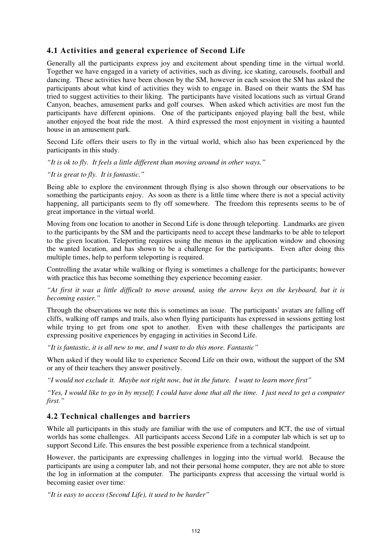### **4.1 Activities and general experience of Second Life**

Generally all the participants express joy and excitement about spending time in the virtual world. Together we have engaged in a variety of activities, such as diving, ice skating, carousels, football and dancing. These activities have been chosen by the SM, however in each session the SM has asked the participants about what kind of activities they wish to engage in. Based on their wants the SM has tried to suggest activities to their liking. The participants have visited locations such as virtual Grand Canyon, beaches, amusement parks and golf courses. When asked which activities are most fun the participants have different opinions. One of the participants enjoyed playing ball the best, while another enjoyed the boat ride the most. A third expressed the most enjoyment in visiting a haunted house in an amusement park.

Second Life offers their users to fly in the virtual world, which also has been experienced by the participants in this study.

*"It is ok to fly. It feels a little different than moving around in other ways."* 

*"It is great to fly. It is fantastic."* 

Being able to explore the environment through flying is also shown through our observations to be something the participants enjoy. As soon as there is a little time where there is not a special activity happening, all participants seem to fly off somewhere. The freedom this represents seems to be of great importance in the virtual world.

Moving from one location to another in Second Life is done through teleporting. Landmarks are given to the participants by the SM and the participants need to accept these landmarks to be able to teleport to the given location. Teleporting requires using the menus in the application window and choosing the wanted location, and has shown to be a challenge for the participants. Even after doing this multiple times, help to perform teleporting is required.

Controlling the avatar while walking or flying is sometimes a challenge for the participants; however with practice this has become something they experience becoming easier.

*"At first it was a little difficult to move around, using the arrow keys on the keyboard, but it is becoming easier."* 

Through the observations we note this is sometimes an issue. The participants' avatars are falling off cliffs, walking off ramps and trails, also when flying participants has expressed in sessions getting lost while trying to get from one spot to another. Even with these challenges the participants are expressing positive experiences by engaging in activities in Second Life.

*"It is fantastic, it is all new to me, and I want to do this more. Fantastic"* 

When asked if they would like to experience Second Life on their own, without the support of the SM or any of their teachers they answer positively.

*"I would not exclude it. Maybe not right now, but in the future. I want to learn more first"* 

*"Yes, I would like to go in by myself; I could have done that all the time. I just need to get a computer first."* 

### **4.2 Technical challenges and barriers**

While all participants in this study are familiar with the use of computers and ICT, the use of virtual worlds has some challenges. All participants access Second Life in a computer lab which is set up to support Second Life. This ensures the best possible experience from a technical standpoint.

However, the participants are expressing challenges in logging into the virtual world. Because the participants are using a computer lab, and not their personal home computer, they are not able to store the log in information at the computer. The participants express that accessing the virtual world is becoming easier over time:

*"It is easy to access (Second Life), it used to be harder"*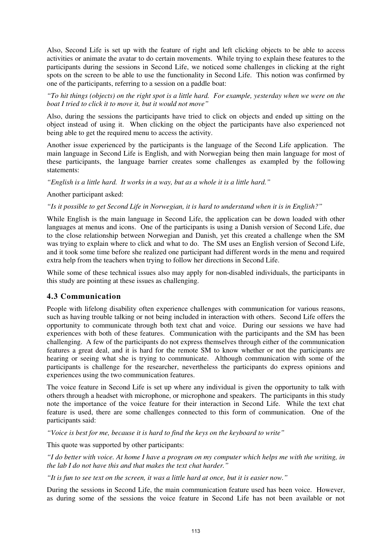Also, Second Life is set up with the feature of right and left clicking objects to be able to access activities or animate the avatar to do certain movements. While trying to explain these features to the participants during the sessions in Second Life, we noticed some challenges in clicking at the right spots on the screen to be able to use the functionality in Second Life. This notion was confirmed by one of the participants, referring to a session on a paddle boat:

*"To hit things (objects) on the right spot is a little hard. For example, yesterday when we were on the boat I tried to click it to move it, but it would not move"* 

Also, during the sessions the participants have tried to click on objects and ended up sitting on the object instead of using it. When clicking on the object the participants have also experienced not being able to get the required menu to access the activity.

Another issue experienced by the participants is the language of the Second Life application. The main language in Second Life is English, and with Norwegian being then main language for most of these participants, the language barrier creates some challenges as exampled by the following statements:

*"English is a little hard. It works in a way, but as a whole it is a little hard."* 

#### Another participant asked:

*"Is it possible to get Second Life in Norwegian, it is hard to understand when it is in English?"* 

While English is the main language in Second Life, the application can be down loaded with other languages at menus and icons. One of the participants is using a Danish version of Second Life, due to the close relationship between Norwegian and Danish, yet this created a challenge when the SM was trying to explain where to click and what to do. The SM uses an English version of Second Life, and it took some time before she realized one participant had different words in the menu and required extra help from the teachers when trying to follow her directions in Second Life.

While some of these technical issues also may apply for non-disabled individuals, the participants in this study are pointing at these issues as challenging.

#### **4.3 Communication**

People with lifelong disability often experience challenges with communication for various reasons, such as having trouble talking or not being included in interaction with others. Second Life offers the opportunity to communicate through both text chat and voice. During our sessions we have had experiences with both of these features. Communication with the participants and the SM has been challenging. A few of the participants do not express themselves through either of the communication features a great deal, and it is hard for the remote SM to know whether or not the participants are hearing or seeing what she is trying to communicate. Although communication with some of the participants is challenge for the researcher, nevertheless the participants do express opinions and experiences using the two communication features.

The voice feature in Second Life is set up where any individual is given the opportunity to talk with others through a headset with microphone, or microphone and speakers. The participants in this study note the importance of the voice feature for their interaction in Second Life. While the text chat feature is used, there are some challenges connected to this form of communication. One of the participants said:

*"Voice is best for me, because it is hard to find the keys on the keyboard to write"* 

This quote was supported by other participants:

*"I do better with voice. At home I have a program on my computer which helps me with the writing, in the lab I do not have this and that makes the text chat harder."* 

*"It is fun to see text on the screen, it was a little hard at once, but it is easier now."* 

During the sessions in Second Life, the main communication feature used has been voice. However, as during some of the sessions the voice feature in Second Life has not been available or not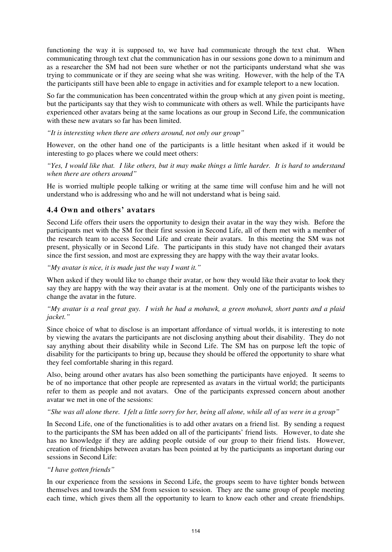functioning the way it is supposed to, we have had communicate through the text chat. When communicating through text chat the communication has in our sessions gone down to a minimum and as a researcher the SM had not been sure whether or not the participants understand what she was trying to communicate or if they are seeing what she was writing. However, with the help of the TA the participants still have been able to engage in activities and for example teleport to a new location.

So far the communication has been concentrated within the group which at any given point is meeting, but the participants say that they wish to communicate with others as well. While the participants have experienced other avatars being at the same locations as our group in Second Life, the communication with these new avatars so far has been limited.

*"It is interesting when there are others around, not only our group"* 

However, on the other hand one of the participants is a little hesitant when asked if it would be interesting to go places where we could meet others:

*"Yes, I would like that. I like others, but it may make things a little harder. It is hard to understand when there are others around"* 

He is worried multiple people talking or writing at the same time will confuse him and he will not understand who is addressing who and he will not understand what is being said.

#### **4.4 Own and others' avatars**

Second Life offers their users the opportunity to design their avatar in the way they wish. Before the participants met with the SM for their first session in Second Life, all of them met with a member of the research team to access Second Life and create their avatars. In this meeting the SM was not present, physically or in Second Life. The participants in this study have not changed their avatars since the first session, and most are expressing they are happy with the way their avatar looks.

*"My avatar is nice, it is made just the way I want it."* 

When asked if they would like to change their avatar, or how they would like their avatar to look they say they are happy with the way their avatar is at the moment. Only one of the participants wishes to change the avatar in the future.

#### *"My avatar is a real great guy. I wish he had a mohawk, a green mohawk, short pants and a plaid jacket."*

Since choice of what to disclose is an important affordance of virtual worlds, it is interesting to note by viewing the avatars the participants are not disclosing anything about their disability. They do not say anything about their disability while in Second Life. The SM has on purpose left the topic of disability for the participants to bring up, because they should be offered the opportunity to share what they feel comfortable sharing in this regard.

Also, being around other avatars has also been something the participants have enjoyed. It seems to be of no importance that other people are represented as avatars in the virtual world; the participants refer to them as people and not avatars. One of the participants expressed concern about another avatar we met in one of the sessions:

*"She was all alone there. I felt a little sorry for her, being all alone, while all of us were in a group"* 

In Second Life, one of the functionalities is to add other avatars on a friend list. By sending a request to the participants the SM has been added on all of the participants' friend lists. However, to date she has no knowledge if they are adding people outside of our group to their friend lists. However, creation of friendships between avatars has been pointed at by the participants as important during our sessions in Second Life:

#### *"I have gotten friends"*

In our experience from the sessions in Second Life, the groups seem to have tighter bonds between themselves and towards the SM from session to session. They are the same group of people meeting each time, which gives them all the opportunity to learn to know each other and create friendships.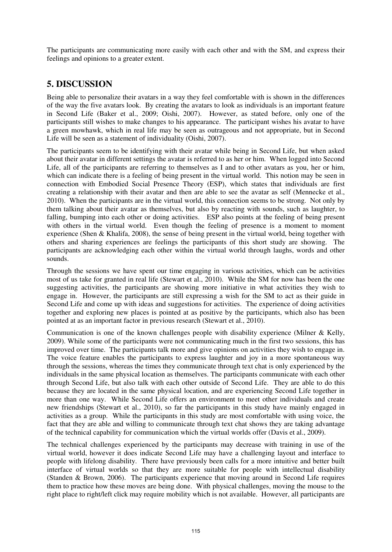The participants are communicating more easily with each other and with the SM, and express their feelings and opinions to a greater extent.

## **5. DISCUSSION**

Being able to personalize their avatars in a way they feel comfortable with is shown in the differences of the way the five avatars look. By creating the avatars to look as individuals is an important feature in Second Life (Baker et al., 2009; Oishi, 2007). However, as stated before, only one of the participants still wishes to make changes to his appearance. The participant wishes his avatar to have a green mowhawk, which in real life may be seen as outrageous and not appropriate, but in Second Life will be seen as a statement of individuality (Oishi, 2007).

The participants seem to be identifying with their avatar while being in Second Life, but when asked about their avatar in different settings the avatar is referred to as her or him. When logged into Second Life, all of the participants are referring to themselves as I and to other avatars as you, her or him, which can indicate there is a feeling of being present in the virtual world. This notion may be seen in connection with Embodied Social Presence Theory (ESP), which states that individuals are first creating a relationship with their avatar and then are able to see the avatar as self (Mennecke et al., 2010). When the participants are in the virtual world, this connection seems to be strong. Not only by them talking about their avatar as themselves, but also by reacting with sounds, such as laughter, to falling, bumping into each other or doing activities. ESP also points at the feeling of being present with others in the virtual world. Even though the feeling of presence is a moment to moment experience (Shen & Khalifa, 2008), the sense of being present in the virtual world, being together with others and sharing experiences are feelings the participants of this short study are showing. The participants are acknowledging each other within the virtual world through laughs, words and other sounds.

Through the sessions we have spent our time engaging in various activities, which can be activities most of us take for granted in real life (Stewart et al., 2010). While the SM for now has been the one suggesting activities, the participants are showing more initiative in what activities they wish to engage in. However, the participants are still expressing a wish for the SM to act as their guide in Second Life and come up with ideas and suggestions for activities. The experience of doing activities together and exploring new places is pointed at as positive by the participants, which also has been pointed at as an important factor in previous research (Stewart et al., 2010).

Communication is one of the known challenges people with disability experience (Milner  $&$  Kelly, 2009). While some of the participants were not communicating much in the first two sessions, this has improved over time. The participants talk more and give opinions on activities they wish to engage in. The voice feature enables the participants to express laughter and joy in a more spontaneous way through the sessions, whereas the times they communicate through text chat is only experienced by the individuals in the same physical location as themselves. The participants communicate with each other through Second Life, but also talk with each other outside of Second Life. They are able to do this because they are located in the same physical location, and are experiencing Second Life together in more than one way. While Second Life offers an environment to meet other individuals and create new friendships (Stewart et al., 2010), so far the participants in this study have mainly engaged in activities as a group. While the participants in this study are most comfortable with using voice, the fact that they are able and willing to communicate through text chat shows they are taking advantage of the technical capability for communication which the virtual worlds offer (Davis et al., 2009).

The technical challenges experienced by the participants may decrease with training in use of the virtual world, however it does indicate Second Life may have a challenging layout and interface to people with lifelong disability. There have previously been calls for a more intuitive and better built interface of virtual worlds so that they are more suitable for people with intellectual disability (Standen & Brown, 2006). The participants experience that moving around in Second Life requires them to practice how these moves are being done. With physical challenges, moving the mouse to the right place to right/left click may require mobility which is not available. However, all participants are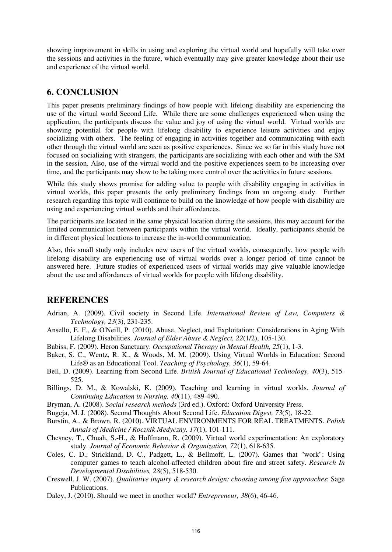showing improvement in skills in using and exploring the virtual world and hopefully will take over the sessions and activities in the future, which eventually may give greater knowledge about their use and experience of the virtual world.

## **6. CONCLUSION**

This paper presents preliminary findings of how people with lifelong disability are experiencing the use of the virtual world Second Life. While there are some challenges experienced when using the application, the participants discuss the value and joy of using the virtual world. Virtual worlds are showing potential for people with lifelong disability to experience leisure activities and enjoy socializing with others. The feeling of engaging in activities together and communicating with each other through the virtual world are seen as positive experiences. Since we so far in this study have not focused on socializing with strangers, the participants are socializing with each other and with the SM in the session. Also, use of the virtual world and the positive experiences seem to be increasing over time, and the participants may show to be taking more control over the activities in future sessions.

While this study shows promise for adding value to people with disability engaging in activities in virtual worlds, this paper presents the only preliminary findings from an ongoing study. Further research regarding this topic will continue to build on the knowledge of how people with disability are using and experiencing virtual worlds and their affordances.

The participants are located in the same physical location during the sessions, this may account for the limited communication between participants within the virtual world. Ideally, participants should be in different physical locations to increase the in-world communication.

Also, this small study only includes new users of the virtual worlds, consequently, how people with lifelong disability are experiencing use of virtual worlds over a longer period of time cannot be answered here. Future studies of experienced users of virtual worlds may give valuable knowledge about the use and affordances of virtual worlds for people with lifelong disability.

## **REFERENCES**

- Adrian, A. (2009). Civil society in Second Life. *International Review of Law, Computers & Technology, 23*(3), 231-235.
- Ansello, E. F., & O'Neill, P. (2010). Abuse, Neglect, and Exploitation: Considerations in Aging With Lifelong Disabilities. *Journal of Elder Abuse & Neglect, 22*(1/2), 105-130.
- Babiss, F. (2009). Heron Sanctuary. *Occupational Therapy in Mental Health, 25*(1), 1-3.
- Baker, S. C., Wentz, R. K., & Woods, M. M. (2009). Using Virtual Worlds in Education: Second Life® as an Educational Tool. *Teaching of Psychology, 36*(1), 59-64.
- Bell, D. (2009). Learning from Second Life. *British Journal of Educational Technology, 40*(3), 515- 525.
- Billings, D. M., & Kowalski, K. (2009). Teaching and learning in virtual worlds. *Journal of Continuing Education in Nursing, 40*(11), 489-490.
- Bryman, A. (2008). *Social research methods* (3rd ed.). Oxford: Oxford University Press.
- Bugeja, M. J. (2008). Second Thoughts About Second Life. *Education Digest, 73*(5), 18-22.
- Burstin, A., & Brown, R. (2010). VIRTUAL ENVIRONMENTS FOR REAL TREATMENTS. *Polish Annals of Medicine / Rocznik Medyczny, 17*(1), 101-111.
- Chesney, T., Chuah, S.-H., & Hoffmann, R. (2009). Virtual world experimentation: An exploratory study. *Journal of Economic Behavior & Organization, 72*(1), 618-635.
- Coles, C. D., Strickland, D. C., Padgett, L., & Bellmoff, L. (2007). Games that "work": Using computer games to teach alcohol-affected children about fire and street safety. *Research In Developmental Disabilities, 28*(5), 518-530.
- Creswell, J. W. (2007). *Qualitative inquiry & research design: choosing among five approaches*: Sage Publications.
- Daley, J. (2010). Should we meet in another world? *Entrepreneur, 38*(6), 46-46.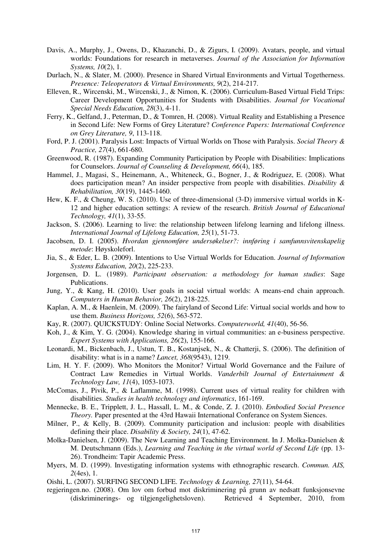- Davis, A., Murphy, J., Owens, D., Khazanchi, D., & Zigurs, I. (2009). Avatars, people, and virtual worlds: Foundations for research in metaverses. *Journal of the Association for Information Systems, 10*(2), 1.
- Durlach, N., & Slater, M. (2000). Presence in Shared Virtual Environments and Virtual Togetherness. *Presence: Teleoperators & Virtual Environments, 9*(2), 214-217.
- Elleven, R., Wircenski, M., Wircenski, J., & Nimon, K. (2006). Curriculum-Based Virtual Field Trips: Career Development Opportunities for Students with Disabilities. *Journal for Vocational Special Needs Education, 28*(3), 4-11.
- Ferry, K., Gelfand, J., Peterman, D., & Tomren, H. (2008). Virtual Reality and Establishing a Presence in Second Life: New Forms of Grey Literature? *Conference Papers: International Conference on Grey Literature, 9*, 113-118.
- Ford, P. J. (2001). Paralysis Lost: Impacts of Virtual Worlds on Those with Paralysis. *Social Theory & Practice, 27*(4), 661-680.
- Greenwood, R. (1987). Expanding Community Participation by People with Disabilities: Implications for Counselors. *Journal of Counseling & Development, 66*(4), 185.
- Hammel, J., Magasi, S., Heinemann, A., Whiteneck, G., Bogner, J., & Rodriguez, E. (2008). What does participation mean? An insider perspective from people with disabilities. *Disability & Rehabilitation, 30*(19), 1445-1460.
- Hew, K. F., & Cheung, W. S. (2010). Use of three-dimensional (3-D) immersive virtual worlds in K-12 and higher education settings: A review of the research. *British Journal of Educational Technology, 41*(1), 33-55.
- Jackson, S. (2006). Learning to live: the relationship between lifelong learning and lifelong illness. *International Journal of Lifelong Education, 25*(1), 51-73.
- Jacobsen, D. I. (2005). *Hvordan gjennomføre undersøkelser?: innføring i samfunnsvitenskapelig metode*: Høyskoleforl.
- Jia, S., & Eder, L. B. (2009). Intentions to Use Virtual Worlds for Education. *Journal of Information Systems Education, 20*(2), 225-233.
- Jorgensen, D. L. (1989). *Participant observation: a methodology for human studies*: Sage Publications.
- Jung, Y., & Kang, H. (2010). User goals in social virtual worlds: A means-end chain approach. *Computers in Human Behavior, 26*(2), 218-225.
- Kaplan, A. M., & Haenlein, M. (2009). The fairyland of Second Life: Virtual social worlds and how to use them. *Business Horizons, 52*(6), 563-572.
- Kay, R. (2007). QUICKSTUDY: Online Social Networks. *Computerworld, 41*(40), 56-56.
- Koh, J., & Kim, Y. G. (2004). Knowledge sharing in virtual communities: an e-business perspective. *Expert Systems with Applications, 26*(2), 155-166.
- Leonardi, M., Bickenbach, J., Ustun, T. B., Kostanjsek, N., & Chatterji, S. (2006). The definition of disability: what is in a name? *Lancet, 368*(9543), 1219.
- Lim, H. Y. F. (2009). Who Monitors the Monitor? Virtual World Governance and the Failure of Contract Law Remedies in Virtual Worlds. *Vanderbilt Journal of Entertainment & Technology Law, 11*(4), 1053-1073.
- McComas, J., Pivik, P., & Laflamme, M. (1998). Current uses of virtual reality for children with disabilities. *Studies in health technology and informatics*, 161-169.
- Mennecke, B. E., Tripplett, J. L., Hassall, L. M., & Conde, Z. J. (2010). *Embodied Social Presence Theory.* Paper presented at the 43rd Hawaii International Conferance on System Siences.
- Milner, P., & Kelly, B. (2009). Community participation and inclusion: people with disabilities defining their place. *Disability & Society, 24*(1), 47-62.
- Molka-Danielsen, J. (2009). The New Learning and Teaching Environment. In J. Molka-Danielsen & M. Deutschmann (Eds.), *Learning and Teaching in the virtual world of Second Life* (pp. 13- 26). Trondheim: Tapir Academic Press.
- Myers, M. D. (1999). Investigating information systems with ethnographic research. *Commun. AIS, 2*(4es), 1.
- Oishi, L. (2007). SURFING SECOND LIFE. *Technology & Learning, 27*(11), 54-64.
- regjeringen.no. (2008). Om lov om forbud mot diskriminering på grunn av nedsatt funksjonsevne (diskriminerings- og tilgjengelighetsloven). Retrieved 4 September, 2010, from